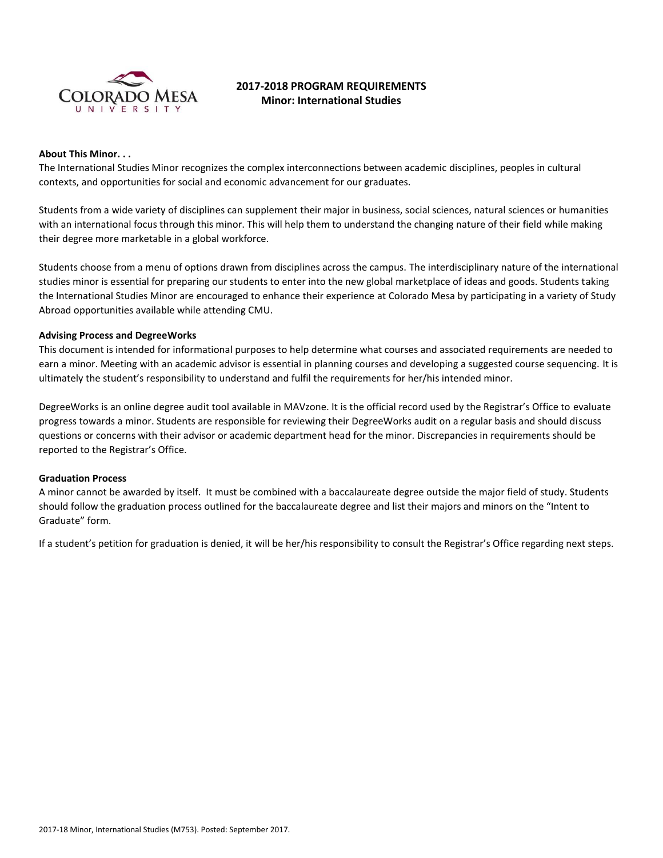

# **2017-2018 PROGRAM REQUIREMENTS Minor: International Studies**

#### **About This Minor. . .**

The International Studies Minor recognizes the complex interconnections between academic disciplines, peoples in cultural contexts, and opportunities for social and economic advancement for our graduates.

Students from a wide variety of disciplines can supplement their major in business, social sciences, natural sciences or humanities with an international focus through this minor. This will help them to understand the changing nature of their field while making their degree more marketable in a global workforce.

Students choose from a menu of options drawn from disciplines across the campus. The interdisciplinary nature of the international studies minor is essential for preparing our students to enter into the new global marketplace of ideas and goods. Students taking the International Studies Minor are encouraged to enhance their experience at Colorado Mesa by participating in a variety of Study Abroad opportunities available while attending CMU.

#### **Advising Process and DegreeWorks**

This document is intended for informational purposes to help determine what courses and associated requirements are needed to earn a minor. Meeting with an academic advisor is essential in planning courses and developing a suggested course sequencing. It is ultimately the student's responsibility to understand and fulfil the requirements for her/his intended minor.

DegreeWorks is an online degree audit tool available in MAVzone. It is the official record used by the Registrar's Office to evaluate progress towards a minor. Students are responsible for reviewing their DegreeWorks audit on a regular basis and should discuss questions or concerns with their advisor or academic department head for the minor. Discrepancies in requirements should be reported to the Registrar's Office.

#### **Graduation Process**

A minor cannot be awarded by itself. It must be combined with a baccalaureate degree outside the major field of study. Students should follow the graduation process outlined for the baccalaureate degree and list their majors and minors on the "Intent to Graduate" form.

If a student's petition for graduation is denied, it will be her/his responsibility to consult the Registrar's Office regarding next steps.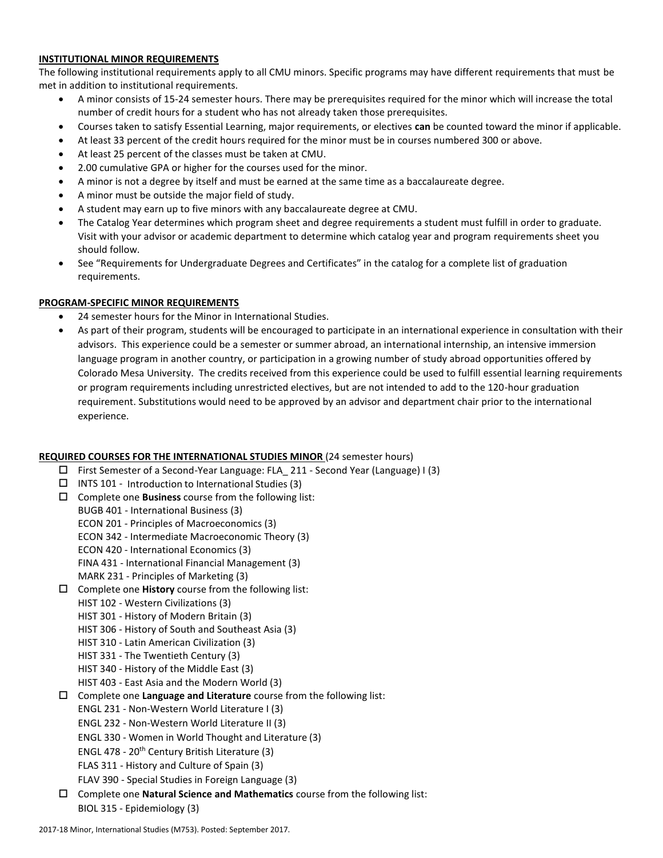### **INSTITUTIONAL MINOR REQUIREMENTS**

The following institutional requirements apply to all CMU minors. Specific programs may have different requirements that must be met in addition to institutional requirements.

- A minor consists of 15-24 semester hours. There may be prerequisites required for the minor which will increase the total number of credit hours for a student who has not already taken those prerequisites.
- Courses taken to satisfy Essential Learning, major requirements, or electives **can** be counted toward the minor if applicable.
- At least 33 percent of the credit hours required for the minor must be in courses numbered 300 or above.
- At least 25 percent of the classes must be taken at CMU.
- 2.00 cumulative GPA or higher for the courses used for the minor.
- A minor is not a degree by itself and must be earned at the same time as a baccalaureate degree.
- A minor must be outside the major field of study.
- A student may earn up to five minors with any baccalaureate degree at CMU.
- The Catalog Year determines which program sheet and degree requirements a student must fulfill in order to graduate. Visit with your advisor or academic department to determine which catalog year and program requirements sheet you should follow.
- See "Requirements for Undergraduate Degrees and Certificates" in the catalog for a complete list of graduation requirements.

# **PROGRAM-SPECIFIC MINOR REQUIREMENTS**

- 24 semester hours for the Minor in International Studies.
- As part of their program, students will be encouraged to participate in an international experience in consultation with their advisors. This experience could be a semester or summer abroad, an international internship, an intensive immersion language program in another country, or participation in a growing number of study abroad opportunities offered by Colorado Mesa University. The credits received from this experience could be used to fulfill essential learning requirements or program requirements including unrestricted electives, but are not intended to add to the 120-hour graduation requirement. Substitutions would need to be approved by an advisor and department chair prior to the international experience.

# **REQUIRED COURSES FOR THE INTERNATIONAL STUDIES MINOR** (24 semester hours)

- First Semester of a Second-Year Language: FLA\_ 211 Second Year (Language) I (3)
- $\Box$  INTS 101 Introduction to International Studies (3)
- Complete one **Business** course from the following list:
- BUGB 401 International Business (3) ECON 201 - Principles of Macroeconomics (3) ECON 342 - Intermediate Macroeconomic Theory (3) ECON 420 - International Economics (3) FINA 431 - International Financial Management (3) MARK 231 - Principles of Marketing (3)
- Complete one **History** course from the following list:
	- HIST 102 Western Civilizations (3)
	- HIST 301 History of Modern Britain (3)
	- HIST 306 History of South and Southeast Asia (3)
	- HIST 310 Latin American Civilization (3)
	- HIST 331 The Twentieth Century (3)
	- HIST 340 History of the Middle East (3)
	- HIST 403 East Asia and the Modern World (3)
- Complete one **Language and Literature** course from the following list:
	- ENGL 231 Non-Western World Literature I (3)
	- ENGL 232 Non-Western World Literature II (3)
	- ENGL 330 Women in World Thought and Literature (3)
	- ENGL 478 20th Century British Literature (3)
	- FLAS 311 History and Culture of Spain (3)
	- FLAV 390 Special Studies in Foreign Language (3)
- Complete one **Natural Science and Mathematics** course from the following list: BIOL 315 - Epidemiology (3)